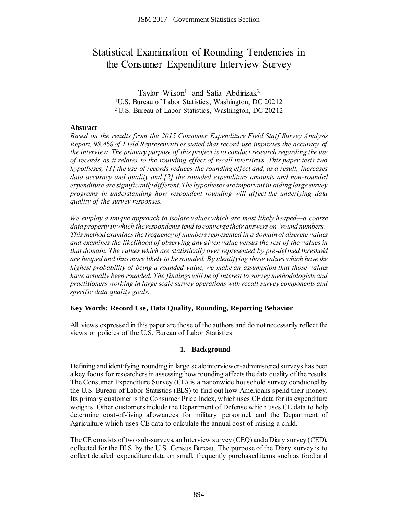# Statistical Examination of Rounding Tendencies in the Consumer Expenditure Interview Survey

Taylor Wilson<sup>1</sup> and Safia Abdirizak<sup>2</sup> <sup>1</sup>U.S. Bureau of Labor Statistics, Washington, DC 20212 <sup>2</sup>U.S. Bureau of Labor Statistics, Washington, DC 20212

# **Abstract**

*Based on the results from the 2015 Consumer Expenditure Field Staff Survey Analysis Report, 98.4% of Field Representatives stated that record use improves the accuracy of the interview. The primary purpose of this project is to conduct research regarding the use of records as it relates to the rounding effect of recall interviews. This paper tests two hypotheses, [1] the use of records reduces the rounding effect and, as a result, increases data accuracy and quality and [2] the rounded expenditure amounts and non-rounded expenditure are significantly different. The hypotheses are important in aiding large survey programs in understanding how respondent rounding will affect the underlying data quality of the survey responses.* 

*We employ a unique approach to isolate values which are most likely heaped—a coarse data property in which the respondents tend to converge their answers on 'round numbers.' This method examines the frequency of numbers represented in a domain of discrete values and examines the likelihood of observing any given value versus the rest of the values in that domain. The values which are statistically over represented by pre-defined threshold are heaped and thus more likely to be rounded. By identifying those values which have the highest probability of being a rounded value, we make an assumption that those values have actually been rounded. The findings will be of interest to survey methodologists and practitioners working in large scale survey operations with recall survey components and specific data quality goals.*  JSM 2017 - Government Statistics Section<br>
Examination of Rounding Tel<br>
Examination of Rounding Tel<br>
Taylor Wikon<sup>1</sup> and Safia Abdürzak<sup>2</sup><br>
trava of Labor Statistics, Washington, DG<br>
trava of Labor Statistics, Washington, D

## **Key Words: Record Use, Data Quality, Rounding, Reporting Behavior**

All views expressed in this paper are those of the authors and do not necessarily reflect the views or policies of the U.S. Bureau of Labor Statistics

## **1. Background**

Defining and identifying rounding in large scale interviewer-administered surveys has been a key focus for researchers in assessing how rounding affects the data quality of the results. The Consumer Expenditure Survey (CE) is a nationwide household survey conducted by the U.S. Bureau of Labor Statistics (BLS) to find out how Americans spend their money. Its primary customer is the Consumer Price Index, which uses CE data for its expenditure weights. Other customers include the Department of Defense which uses CE data to help determine cost-of-living allowances for military personnel, and the Department of Agriculture which uses CE data to calculate the annual cost of raising a child.

The CE consists of two sub-surveys, an Interview survey (CEQ) and a Diary survey (CED), collected for the BLS by the U.S. Census Bureau. The purpose of the Diary survey is to collect detailed expenditure data on small, frequently purchased items such as food and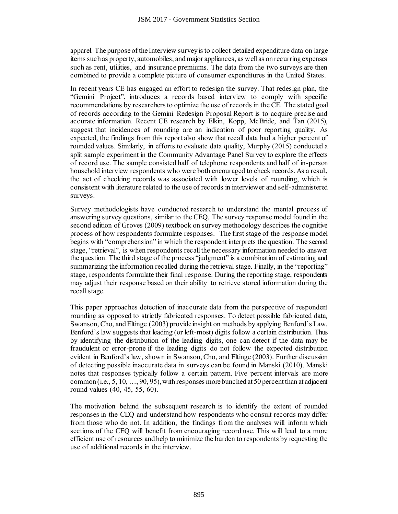apparel. The purpose of the Interview survey is to collect detailed expenditure data on large items such as property, automobiles, and major appliances, as well as on recurring expenses such as rent, utilities, and insurance premiums. The data from the two surveys are then combined to provide a complete picture of consumer expenditures in the United States.

In recent years CE has engaged an effort to redesign the survey. That redesign plan, the "Gemini Project", introduces a records based interview to comply with specific recommendations by researchers to optimize the use of records in the CE. The stated goal of records according to the Gemini Redesign Proposal Report is to acquire precise and accurate information. Recent CE research by Elkin, Kopp, McBride, and Tan (2015), suggest that incidences of rounding are an indication of poor reporting quality. As expected, the findings from this report also show that recall data had a higher percent of rounded values. Similarly, in efforts to evaluate data quality, Murphy (2015) conducted a split sample experiment in the Community Advantage Panel Survey to explore the effects of record use. The sample consisted half of telephone respondents and half of in-person household interview respondents who were both encouraged to check records. As a result, the act of checking records was associated with lower levels of rounding, which is consistent with literature related to the use of records in interviewer and self-administered surveys. JSM 2017 - Government Statistics Section<br>the Interview survey is to collect detailed eal<br>automobiles, and major appliances, as well as the moment<br>complete picture of consumer expenditure engances, as well as<br>conduces a rec

Survey methodologists have conducted research to understand the mental process of answering survey questions, similar to the CEQ. The survey response model found in the second edition of Groves (2009) textbook on survey methodology describes the cognitive process of how respondents formulate responses. The first stage of the response model begins with "comprehension" in which the respondent interprets the question. The second stage, "retrieval", is when respondents recall the necessary information needed to answer the question. The third stage of the process "judgment" is a combination of estimating and summarizing the information recalled during the retrieval stage. Finally, in the "reporting" stage, respondents formulate their final response. During the reporting stage, respondents may adjust their response based on their ability to retrieve stored information during the recall stage.

This paper approaches detection of inaccurate data from the perspective of respondent rounding as opposed to strictly fabricated responses. To detect possible fabricated data, Swanson, Cho, and Eltinge (2003) provide insight on methods by applying Benford's Law. Benford's law suggests that leading (or left-most) digits follow a certain distribution. Thus by identifying the distribution of the leading digits, one can detect if the data may be fraudulent or error-prone if the leading digits do not follow the expected distribution evident in Benford's law, shown in Swanson, Cho, and Eltinge (2003). Further discussion of detecting possible inaccurate data in surveys can be found in Manski (2010). Manski notes that responses typically follow a certain pattern. Five percent intervals are more common (i.e.,  $5, 10, \ldots, 90, 95$ ), with responses more bunched at 50 percent than at adjacent round values (40, 45, 55, 60).

The motivation behind the subsequent research is to identify the extent of rounded responses in the CEQ and understand how respondents who consult records may differ from those who do not. In addition, the findings from the analyses will inform which sections of the CEQ will benefit from encouraging record use. This will lead to a more efficient use of resources and help to minimize the burden to respondents by requesting the use of additional records in the interview.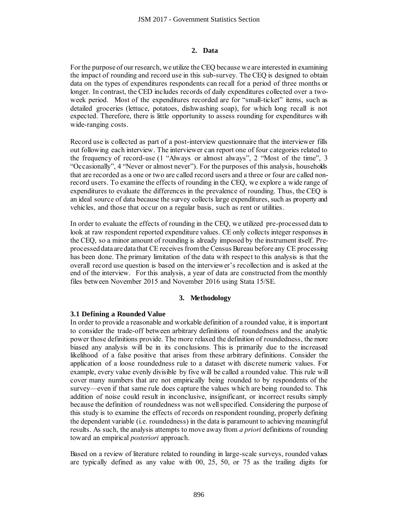#### **2. Data**

For the purpose of our research, we utilize the CEQ because we are interested in examining the impact of rounding and record use in this sub-survey. The CEQ is designed to obtain data on the types of expenditures respondents can recall for a period of three months or longer. In contrast, the CED includes records of daily expenditures collected over a twoweek period. Most of the expenditures recorded are for "small-ticket" items, such as detailed groceries (lettuce, potatoes, dishwashing soap), for which long recall is not expected. Therefore, there is little opportunity to assess rounding for expenditures with wide-ranging costs.

Record use is collected as part of a post-interview questionnaire that the interviewer fills out following each interview. The interviewer can report one of four categories related to the frequency of record-use (1 "Always or almost always", 2 "Most of the time", 3 "Occasionally", 4 "Never or almost never"). For the purposes of this analysis, households that are recorded as a one or two are called record users and a three or four are called nonrecord users. To examine the effects of rounding in the CEQ, we explore a wide range of expenditures to evaluate the differences in the prevalence of rounding. Thus, the CEQ is an ideal source of data because the survey collects large expenditures, such as property and vehicles, and those that occur on a regular basis, such as rent or utilities.

In order to evaluate the effects of rounding in the CEQ, we utilized pre-processed data to look at raw respondent reported expenditure values. CE only collects integer responses in the CEQ, so a minor amount of rounding is already imposed by the instrument itself. Preprocessed data are data that CE receives from the Census Bureau before any CE processing has been done. The primary limitation of the data with respect to this analysis is that the overall record use question is based on the interviewer's recollection and is asked at the end of the interview. For this analysis, a year of data are constructed from the monthly files between November 2015 and November 2016 using Stata 15/SE.

## **3. Methodology**

## **3.1 Defining a Rounded Value**

In order to provide a reasonable and workable definition of a rounded value, it is important to consider the trade-off between arbitrary definitions of roundedness and the analytic power those definitions provide. The more relaxed the definition of roundedness, the more biased any analysis will be in its conclusions. This is primarily due to the increased likelihood of a false positive that arises from these arbitrary definitions. Consider the application of a loose roundedness rule to a dataset with discrete numeric values. For example, every value evenly divisible by five will be called a rounded value. This rule will cover many numbers that are not empirically being rounded to by respondents of the survey—even if that same rule does capture the values which are being rounded to. This addition of noise could result in inconclusive, insignificant, or incorrect results simply because the definition of roundedness was not well specified. Considering the purpose of this study is to examine the effects of records on respondent rounding, properly defining the dependent variable (i.e. roundedness) in the data is paramount to achieving meaningful results. As such, the analysis attempts to move away from *a priori* definitions of rounding toward an empirical *posteriori* approach. **35M 2017 - Government Statistics Section**<br> **2. Data**<br> **2. Data**<br> **2. Data**<br> **2. Data**<br> **2. Data**<br> **2. Data**<br> **2. Data**<br> **2. Carding the CEQ because we are<br>
<b>2. CED** includes records of daily expenditure<br>
the expenditures

Based on a review of literature related to rounding in large-scale surveys, rounded values are typically defined as any value with 00, 25, 50, or 75 as the trailing digits for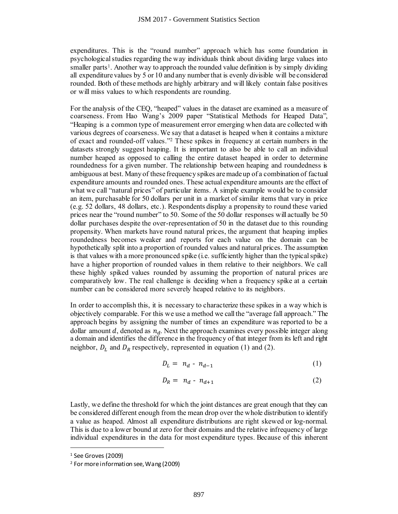expenditures. This is the "round number" approach which has some foundation in psychological studies regarding the way individuals think about dividing large values into smaller parts<sup>1</sup>. Another way to approach the rounded value definition is by simply dividing all expenditure values by 5 or 10 and any number that is evenly divisible will be considered rounded. Both of these methods are highly arbitrary and will likely contain false positives or will miss values to which respondents are rounding.

For the analysis of the CEQ, "heaped" values in the dataset are examined as a measure of coarseness. From Hao Wang's 2009 paper "Statistical Methods for Heaped Data", "Heaping is a common type of measurement error emerging when data are collected with various degrees of coarseness. We say that a dataset is heaped when it contains a mixture of exact and rounded-off values."<sup>2</sup> These spikes in frequency at certain numbers in the datasets strongly suggest heaping. It is important to also be able to call an individual number heaped as opposed to calling the entire dataset heaped in order to determine roundedness for a given number. The relationship between heaping and roundedness is ambiguous at best. Many of these frequency spikes are made up of a combination of factual expenditure amounts and rounded ones. These actual expenditure amounts are the effect of what we call "natural prices" of particular items. A simple example would be to consider an item, purchasable for 50 dollars per unit in a market of similar items that vary in price (e.g. 52 dollars, 48 dollars, etc.). Respondents display a propensity to round these varied prices near the "round number" to 50. Some of the 50 dollar responses will actually be 50 dollar purchases despite the over-representation of 50 in the dataset due to this rounding propensity. When markets have round natural prices, the argument that heaping implies roundedness becomes weaker and reports for each value on the domain can be hypothetically split into a proportion of rounded values and natural prices. The assumption is that values with a more pronounced spike (i.e. sufficiently higher than the typical spike) have a higher proportion of rounded values in them relative to their neighbors. We call these highly spiked values rounded by assuming the proportion of natural prices are comparatively low. The real challenge is deciding when a frequency spike at a certain number can be considered more severely heaped relative to its neighbors. JSM 2017 - Government Statistics Section<br>the "round number" approach which his<br>grading the way individuals think about divay of approach the rounded value definiting<br>y 5 or 10 and any number that is evenly divil<br>the his c

In order to accomplish this, it is necessary to characterize these spikes in a way which is objectively comparable. For this we use a method we call the "average fall approach." The approach begins by assigning the number of times an expenditure was reported to be a dollar amount  $d$ , denoted as  $n_d$ . Next the approach examines every possible integer along a domain and identifies the difference in the frequency of that integer from its left and right neighbor,  $D_L$  and  $D_R$  respectively, represented in equation (1) and (2).

$$
D_L = n_d - n_{d-1} \tag{1}
$$

$$
D_R = n_d - n_{d+1} \tag{2}
$$

Lastly, we define the threshold for which the joint distances are great enough that they can be considered different enough from the mean drop over the whole distribution to identify a value as heaped. Almost all expenditure distributions are right skewed or log-normal. This is due to a lower bound at zero for their domains and the relative infrequency of large individual expenditures in the data for most expenditure types. Because of this inherent

 $\overline{a}$ 

<sup>1</sup> See Groves (2009)

<sup>2</sup> For more information see, Wang (2009)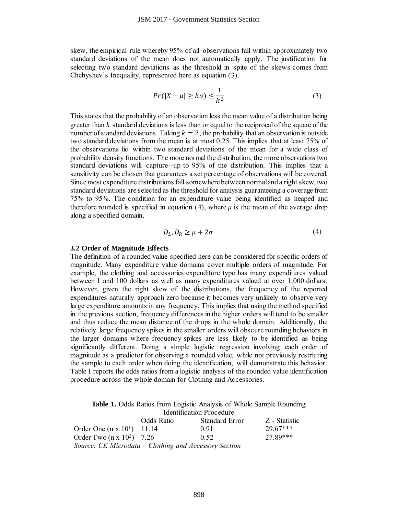skew, the empirical rule whereby 95% of all observations fall within approximately two standard deviations of the mean does not automatically apply. The justification for selecting two standard deviations as the threshold in spite of the skews comes from Chebyshev's Inequality, represented here as equation (3).

$$
Pr(|X - \mu| \ge k\sigma) \le \frac{1}{k^2}
$$
 (3)

This states that the probability of an observation less the mean value of a distribution being greater than  $k$  standard deviations is less than or equal to the reciprocal of the square of the number of standard deviations. Taking  $k = 2$ , the probability that an observation is outside two standard deviations from the mean is at most 0.25. This implies that at least 75% of the observations lie within two standard deviations of the mean for a wide class of probability density functions. The more normal the distribution, the more observations two standard deviations will capture--up to 95% of the distribution. This implies that a sensitivity can be chosen that guarantees a set percentage of observations will be covered. Since most expenditure distributions fall somewhere between normal and a right skew, two standard deviations are selected as the threshold for analysis guaranteeing a coverage from 75% to 95%. The condition for an expenditure value being identified as heaped and therefore rounded is specified in equation (4), where  $\mu$  is the mean of the average drop along a specified domain.

$$
D_L, D_R \ge \mu + 2\sigma \tag{4}
$$

#### **3.2 Order of Magnitude Effects**

The definition of a rounded value specified here can be considered for specific orders of magnitude. Many expenditure value domains cover multiple orders of magnitude. For example, the clothing and accessories expenditure type has many expenditures valued between 1 and 100 dollars as well as many expenditures valued at over 1,000 dollars. However, given the right skew of the distributions, the frequency of the reported expenditures naturally approach zero because it becomes very unlikely to observe very large expenditure amounts in any frequency. This implies that using the method specified in the previous section, frequency differences in the higher orders will tend to be smaller and thus reduce the mean distance of the drops in the whole domain. Additionally, the relatively large frequency spikes in the smaller orders will obscure rounding behaviors in the larger domains where frequency spikes are less likely to be identified as being significantly different. Doing a simple logistic regression involving each order of magnitude as a predictor for observing a rounded value, while not previously restricting the sample to each order when doing the identification, will demonstrate this behavior. Table I reports the odds ratios from a logistic analysis of the rounded value identification procedure across the whole domain for Clothing and Accessories. JSM 2017 - Government Statistics Section<br>
whe whereby 95% of all observations fall wi<br>
the mean does not automatically apply<br>
deviations as the threshold in spite of<br>
revisions as the threshold in spite<br> *Pr*( $|X - \mu| \geq k$ 

**Table 1.** Odds Ratios from Logistic Analysis of Whole Sample Rounding Identification Procedure

|                                                       | Odds Ratio | Standard Error | Z - Statistic |
|-------------------------------------------------------|------------|----------------|---------------|
| Order One $(n \times 10^1)$ 11.14                     |            | 0.91           | 29.67***      |
| Order Two $(n x 10^2)$ 7.26                           |            | 0.52           | 27 89***      |
| Source: CE Microdata – Clothing and Accessory Section |            |                |               |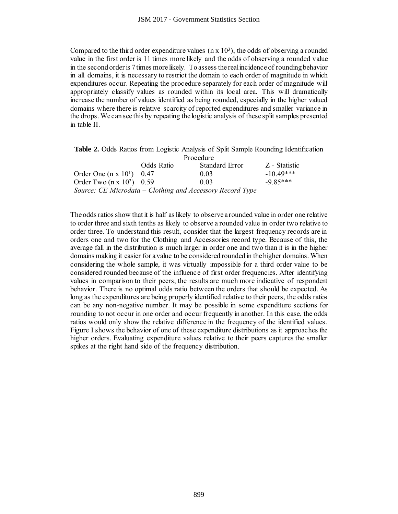Compared to the third order expenditure values  $(n \times 10^3)$ , the odds of observing a rounded value in the first order is 11 times more likely and the odds of observing a rounded value in the second order is 7 times more likely. To assess the real incidence of rounding behavior in all domains, it is necessary to restrict the domain to each order of magnitude in which expenditures occur. Repeating the procedure separately for each order of magnitude will appropriately classify values as rounded within its local area. This will dramatically increase the number of values identified as being rounded, especially in the higher valued domains where there is relative scarcity of reported expenditures and smaller variance in the drops. We can see this by repeating the logistic analysis of these split samples presented in table II.

**Table 2.** Odds Ratios from Logistic Analysis of Split Sample Rounding Identification Procedure

|                                  | I TOUGUULE |                                                           |               |  |
|----------------------------------|------------|-----------------------------------------------------------|---------------|--|
|                                  | Odds Ratio | Standard Error                                            | Z - Statistic |  |
| Order One $(n \times 10^1)$ 0.47 |            | 0.03                                                      | $-10.49$ ***  |  |
| Order Two $(n x 10^2)$ 0.59      |            | 0.03                                                      | $-9.85***$    |  |
|                                  |            | Source: CE Microdata – Clothing and Accessory Record Type |               |  |

The odds ratios show that it is half as likely to observe a rounded value in order one relative to order three and sixth tenths as likely to observe a rounded value in order two relative to order three. To understand this result, consider that the largest frequency records are in orders one and two for the Clothing and Accessories record type. Because of this, the average fall in the distribution is much larger in order one and two than it is in the higher domains making it easier for a value to be considered rounded in the higher domains. When considering the whole sample, it was virtually impossible for a third order value to be considered rounded because of the influence of first order frequencies. After identifying values in comparison to their peers, the results are much more indicative of respondent behavior. There is no optimal odds ratio between the orders that should be expected. As long as the expenditures are being properly identified relative to their peers, the odds ratios can be any non-negative number. It may be possible in some expenditure sections for rounding to not occur in one order and occur frequently in another. In this case, the odds ratios would only show the relative difference in the frequency of the identified values. Figure I shows the behavior of one of these expenditure distributions as it approaches the higher orders. Evaluating expenditure values relative to their peers captures the smaller spikes at the right hand side of the frequency distribution. JSM 2017 - Government Statistics Section<br>
rder expenditure values (n x 10<sup>3</sup>), the odds<br>
11 times more likely and the odds of obs<br>
ines more likely and the odds of obs<br>
ensay to restrict the domain to each order<br>
version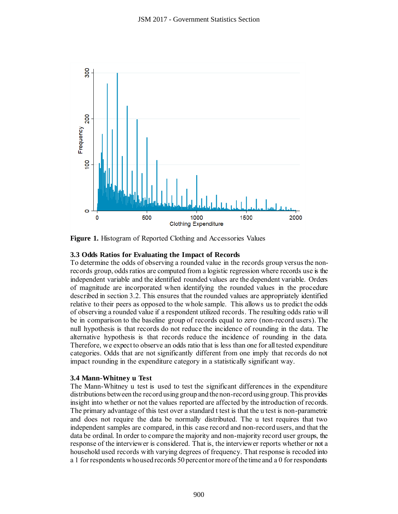

**Figure 1.** Histogram of Reported Clothing and Accessories Values

# **3.3 Odds Ratios for Evaluating the Impact of Records**

To determine the odds of observing a rounded value in the records group versus the nonrecords group, odds ratios are computed from a logistic regression where records use is the independent variable and the identified rounded values are the dependent variable. Orders of magnitude are incorporated when identifying the rounded values in the procedure described in section 3.2. This ensures that the rounded values are appropriately identified relative to their peers as opposed to the whole sample. This allows us to predict the odds of observing a rounded value if a respondent utilized records. The resulting odds ratio will be in comparison to the baseline group of records equal to zero (non-record users). The null hypothesis is that records do not reduce the incidence of rounding in the data. The alternative hypothesis is that records reduce the incidence of rounding in the data. Therefore, we expect to observe an odds ratio that is less than one for all tested expenditure categories. Odds that are not significantly different from one imply that records do not impact rounding in the expenditure category in a statistically significant way.

## **3.4 Mann-Whitney u Test**

The Mann-Whitney u test is used to test the significant differences in the expenditure distributions between the record using group and the non-record using group. This provides insight into whether or not the values reported are affected by the introduction of records. The primary advantage of this test over a standard t test is that the u test is non-parametric and does not require the data be normally distributed. The u test requires that two independent samples are compared, in this case record and non-record users, and that the data be ordinal. In order to compare the majority and non-majority record user groups, the response of the interviewer is considered. That is, the interviewer reports whether or not a household used records with varying degrees of frequency. That response is recoded into a 1 for respondents who used records 50 percent or more of the time and a 0 for respondents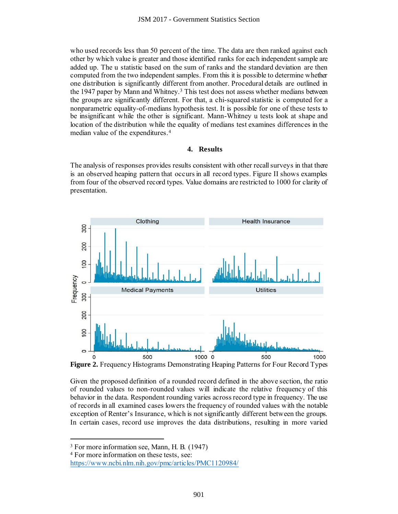who used records less than 50 percent of the time. The data are then ranked against each other by which value is greater and those identified ranks for each independent sample are added up. The u statistic based on the sum of ranks and the standard deviation are then computed from the two independent samples. From this it is possible to determine whether one distribution is significantly different from another. Procedural details are outlined in the 1947 paper by Mann and Whitney.<sup>3</sup> This test does not assess whether medians between the groups are significantly different. For that, a chi-squared statistic is computed for a nonparametric equality-of-medians hypothesis test. It is possible for one of these tests to be insignificant while the other is significant. Mann-Whitney u tests look at shape and location of the distribution while the equality of medians test examines differences in the median value of the expenditures.<sup>4</sup>

## **4. Results**

The analysis of responses provides results consistent with other recall surveys in that there is an observed heaping pattern that occurs in all record types. Figure II shows examples from four of the observed record types. Value domains are restricted to 1000 for clarity of presentation.



**Figure 2.** Frequency Histograms Demonstrating Heaping Patterns for Four Record Types

Given the proposed definition of a rounded record defined in the above section, the ratio of rounded values to non-rounded values will indicate the relative frequency of this behavior in the data. Respondent rounding varies across record type in frequency. The use of records in all examined cases lowers the frequency of rounded values with the notable exception of Renter's Insurance, which is not significantly different between the groups. In certain cases, record use improves the data distributions, resulting in more varied

 $\overline{a}$ 

<sup>3</sup> For more information see, Mann, H. B. (1947)

<sup>4</sup> For more information on these tests, see:

<https://www.ncbi.nlm.nih.gov/pmc/articles/PMC1120984/>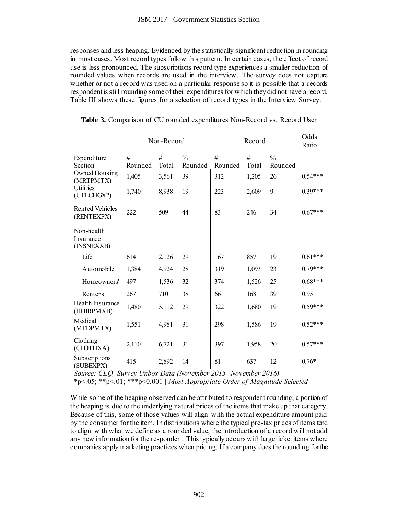| Ratio<br>#<br>#<br>$\frac{0}{0}$<br>#<br>#<br>$\frac{0}{0}$<br>Expenditure<br>Section<br>Rounded<br>Total<br>Rounded<br>Rounded<br>Rounded<br>Total<br>Owned Housing<br>1,405<br>312<br>$0.54***$<br>3,561<br>39<br>1,205<br>26<br>(MRTPMTX)<br>Utilities<br>$0.39***$<br>9<br>1,740<br>8,938<br>19<br>223<br>2,609<br>(UTLCHGX2)<br><b>Rented Vehicles</b><br>$0.67***$<br>222<br>83<br>509<br>44<br>246<br>34<br>(RENTEXPX)<br>Non-health<br>Insurance<br>(INSNEXXB)<br>Life<br>614<br>167<br>857<br>19<br>$0.61***$<br>2,126<br>29<br>$0.79***$<br>Automobile<br>1,384<br>4,924<br>28<br>319<br>1,093<br>23<br>$0.68***$<br>Homeowners'<br>1,536<br>32<br>374<br>1,526<br>25<br>497<br>Renter's<br>267<br>710<br>38<br>168<br>39<br>0.95<br>66<br>Health Insurance<br>1,480<br>29<br>322<br>$0.59***$<br>5,112<br>1,680<br>19<br>(HHIRPMXB)<br>Medical<br>$0.52***$<br>1,551<br>4,981<br>31<br>298<br>1,586<br>19<br>(MEDPMTX)<br>Clothing |  |
|-----------------------------------------------------------------------------------------------------------------------------------------------------------------------------------------------------------------------------------------------------------------------------------------------------------------------------------------------------------------------------------------------------------------------------------------------------------------------------------------------------------------------------------------------------------------------------------------------------------------------------------------------------------------------------------------------------------------------------------------------------------------------------------------------------------------------------------------------------------------------------------------------------------------------------------------------|--|
|                                                                                                                                                                                                                                                                                                                                                                                                                                                                                                                                                                                                                                                                                                                                                                                                                                                                                                                                               |  |
|                                                                                                                                                                                                                                                                                                                                                                                                                                                                                                                                                                                                                                                                                                                                                                                                                                                                                                                                               |  |
|                                                                                                                                                                                                                                                                                                                                                                                                                                                                                                                                                                                                                                                                                                                                                                                                                                                                                                                                               |  |
|                                                                                                                                                                                                                                                                                                                                                                                                                                                                                                                                                                                                                                                                                                                                                                                                                                                                                                                                               |  |
|                                                                                                                                                                                                                                                                                                                                                                                                                                                                                                                                                                                                                                                                                                                                                                                                                                                                                                                                               |  |
|                                                                                                                                                                                                                                                                                                                                                                                                                                                                                                                                                                                                                                                                                                                                                                                                                                                                                                                                               |  |
|                                                                                                                                                                                                                                                                                                                                                                                                                                                                                                                                                                                                                                                                                                                                                                                                                                                                                                                                               |  |
|                                                                                                                                                                                                                                                                                                                                                                                                                                                                                                                                                                                                                                                                                                                                                                                                                                                                                                                                               |  |
|                                                                                                                                                                                                                                                                                                                                                                                                                                                                                                                                                                                                                                                                                                                                                                                                                                                                                                                                               |  |
|                                                                                                                                                                                                                                                                                                                                                                                                                                                                                                                                                                                                                                                                                                                                                                                                                                                                                                                                               |  |
| $0.57***$<br>2,110<br>6,721<br>31<br>397<br>1,958<br>20<br>(CLOTHXA)                                                                                                                                                                                                                                                                                                                                                                                                                                                                                                                                                                                                                                                                                                                                                                                                                                                                          |  |
| Subscriptions<br>415<br>2,892<br>14<br>$0.76*$<br>81<br>637<br>12<br>(SUBEXPX)                                                                                                                                                                                                                                                                                                                                                                                                                                                                                                                                                                                                                                                                                                                                                                                                                                                                |  |
| Source: CEQ Survey Unbox Data (November 2015- November 2016)<br>*p<.05; **p<.01; ***p<0.001   Most Appropriate Order of Magnitude Selected                                                                                                                                                                                                                                                                                                                                                                                                                                                                                                                                                                                                                                                                                                                                                                                                    |  |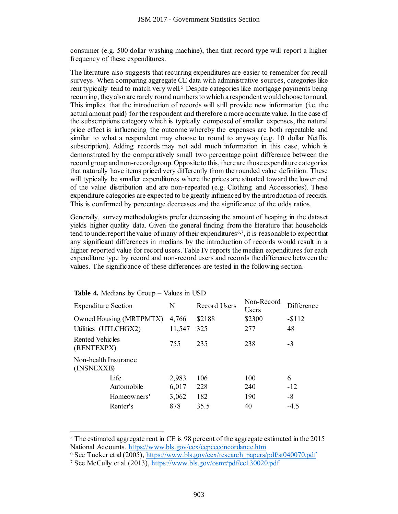consumer (e.g. 500 dollar washing machine), then that record type will report a higher frequency of these expenditures.

The literature also suggests that recurring expenditures are easier to remember for recall surveys. When comparing aggregate CE data with administrative sources, categories like rent typically tend to match very well.<sup>5</sup> Despite categories like mortgage payments being recurring, they also are rarely round numbers to which a respondent would choose to round. This implies that the introduction of records will still provide new information (i.e. the actual amount paid) for the respondent and therefore a more accurate value. In the case of the subscriptions category which is typically composed of smaller expenses, the natural price effect is influencing the outcome whereby the expenses are both repeatable and similar to what a respondent may choose to round to anyway (e.g. 10 dollar Netflix subscription). Adding records may not add much information in this case, which is demonstrated by the comparatively small two percentage point difference between the record group and non-record group. Opposite to this, there are those expenditure categories that naturally have items priced very differently from the rounded value definition. These will typically be smaller expenditures where the prices are situated toward the lower end of the value distribution and are non-repeated (e.g. Clothing and Accessories). These expenditure categories are expected to be greatly influenced by the introduction of records. This is confirmed by percentage decreases and the significance of the odds ratios. JSM 2017 - Government Statistics Section<br>
llar washing machine), then that record ty<br>
enditures.<br>
Election and the record results are easien<br>
image agregate CE data with administrative are particle at<br>
active y well.<sup>3</sup> D

Generally, survey methodologists prefer decreasing the amount of heaping in the dataset yields higher quality data. Given the general finding from the literature that households tend to underreport the value of many of their expenditures<sup>6,7</sup>, it is reasonable to expect that any significant differences in medians by the introduction of records would result in a higher reported value for record users. Table IV reports the median expenditures for each expenditure type by record and non-record users and records the difference between the values. The significance of these differences are tested in the following section.

| <b>Expenditure Section</b>         | N      | Record Users | Non-Record<br>Users | Difference |
|------------------------------------|--------|--------------|---------------------|------------|
| Owned Housing (MRTPMTX)            | 4,766  | \$2188       | \$2300              | $-$112$    |
| Utilities (UTLCHGX2)               | 11,547 | 325          | 277                 | 48         |
| Rented Vehicles<br>(RENTEXPX)      | 755    | 235          | 238                 | $-3$       |
| Non-health Insurance<br>(INSNEXXB) |        |              |                     |            |
| Life                               | 2,983  | 106          | 100                 | 6          |
| Automobile                         | 6,017  | 228          | 240                 | $-12$      |
| Homeowners'                        | 3,062  | 182          | 190                 | -8         |
| Renter's                           | 878    | 35.5         | 40                  | $-4.5$     |

#### **Table 4.** Medians by Group – Values in USD

 $\overline{a}$ 

<sup>&</sup>lt;sup>5</sup> The estimated aggregate rent in CE is 98 percent of the aggregate estimated in the 2015 National Accounts[. https://www.bls.gov/cex/cepceconcordance.htm](https://www.bls.gov/cex/cepceconcordance.htm)

<sup>&</sup>lt;sup>6</sup> See Tucker et al (2005)[, https://www.bls.gov/cex/research\\_papers/pdf/st040070.pdf](https://www.bls.gov/cex/research_papers/pdf/st040070.pdf)

<sup>&</sup>lt;sup>7</sup> See McCully et al (2013)[, https://www.bls.gov/osmr/pdf/ec130020.pdf](https://www.bls.gov/osmr/pdf/ec130020.pdf)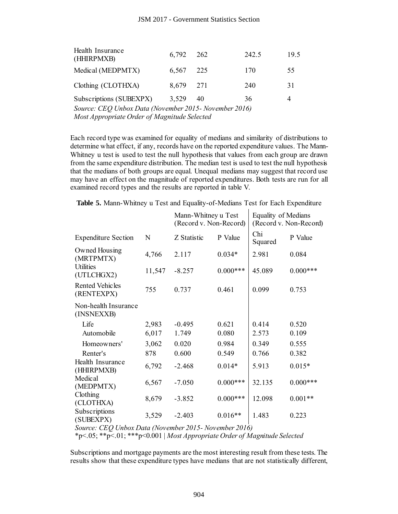| Health Insurance<br>(HHIRPMXB)                        | 6,792     | 262 | 242.5 | 19.5 |
|-------------------------------------------------------|-----------|-----|-------|------|
| Medical (MEDPMTX)                                     | 6,567     | 225 | 170   | 55   |
| Clothing (CLOTHXA)                                    | 8,679 271 |     | 240   | 31   |
| Subscriptions (SUBEXPX)                               | 3,529     | 40  | 36    | 4    |
| Source: CEQ Unbox Data (November 2015- November 2016) |           |     |       |      |

**Table 5.** Mann-Whitney u Test and Equality-of-Medians Test for Each Expenditure

|                                                                                                                                                                                                                                                                                                                                                                                                                                                                                                                                                                                                                                                                                                          |        |             | JSM 2017 - Government Statistics Section |                |                        |
|----------------------------------------------------------------------------------------------------------------------------------------------------------------------------------------------------------------------------------------------------------------------------------------------------------------------------------------------------------------------------------------------------------------------------------------------------------------------------------------------------------------------------------------------------------------------------------------------------------------------------------------------------------------------------------------------------------|--------|-------------|------------------------------------------|----------------|------------------------|
| Health Insurance<br>(HHIRPMXB)                                                                                                                                                                                                                                                                                                                                                                                                                                                                                                                                                                                                                                                                           |        | 6,792       | 262                                      | 242.5          | 19.5                   |
| Medical (MEDPMTX)                                                                                                                                                                                                                                                                                                                                                                                                                                                                                                                                                                                                                                                                                        |        | 6,567       | 225                                      | 170            | 55                     |
| Clothing (CLOTHXA)                                                                                                                                                                                                                                                                                                                                                                                                                                                                                                                                                                                                                                                                                       |        | 8,679       | 271                                      | 240            | 31                     |
| Subscriptions (SUBEXPX)                                                                                                                                                                                                                                                                                                                                                                                                                                                                                                                                                                                                                                                                                  |        | 3,529       | 40                                       | 36             | $\overline{4}$         |
| Source: CEQ Unbox Data (November 2015- November 2016)<br>Most Appropriate Order of Magnitude Selected                                                                                                                                                                                                                                                                                                                                                                                                                                                                                                                                                                                                    |        |             |                                          |                |                        |
| ach record type was examined for equality of medians and similarity of distributions t<br>etermine what effect, if any, records have on the reported expenditure values. The Man<br>Whitney u test is used to test the null hypothesis that values from each group are draw<br>rom the same expenditure distribution. The median test is used to test the null hypothes<br>nat the medians of both groups are equal. Unequal medians may suggest that record us<br>have an effect on the magnitude of reported expenditures. Both tests are run for a<br>xamined record types and the results are reported in table V.<br>Table 5. Mann-Whitney u Test and Equality-of-Medians Test for Each Expenditure |        |             |                                          |                |                        |
|                                                                                                                                                                                                                                                                                                                                                                                                                                                                                                                                                                                                                                                                                                          |        |             | Mann-Whitney u Test                      |                | Equality of Medians    |
|                                                                                                                                                                                                                                                                                                                                                                                                                                                                                                                                                                                                                                                                                                          |        |             | (Record v. Non-Record)                   |                | (Record v. Non-Record) |
| <b>Expenditure Section</b>                                                                                                                                                                                                                                                                                                                                                                                                                                                                                                                                                                                                                                                                               | N      | Z Statistic | P Value                                  | Chi<br>Squared | P Value                |
| Owned Housing<br>(MRTPMTX)<br><b>Utilities</b>                                                                                                                                                                                                                                                                                                                                                                                                                                                                                                                                                                                                                                                           | 4,766  | 2.117       | $0.034*$                                 | 2.981          | 0.084                  |
| (UTLCHGX2)                                                                                                                                                                                                                                                                                                                                                                                                                                                                                                                                                                                                                                                                                               | 11,547 | $-8.257$    | $0.000***$                               | 45.089         | $0.000***$             |
| <b>Rented Vehicles</b><br>(RENTEXPX)                                                                                                                                                                                                                                                                                                                                                                                                                                                                                                                                                                                                                                                                     | 755    | 0.737       | 0.461                                    | 0.099          | 0.753                  |
| Non-health Insurance<br>(INSNEXXB)                                                                                                                                                                                                                                                                                                                                                                                                                                                                                                                                                                                                                                                                       |        |             |                                          |                |                        |
| Life                                                                                                                                                                                                                                                                                                                                                                                                                                                                                                                                                                                                                                                                                                     | 2,983  | $-0.495$    | 0.621                                    | 0.414          | 0.520                  |
| Automobile                                                                                                                                                                                                                                                                                                                                                                                                                                                                                                                                                                                                                                                                                               | 6,017  | 1.749       | 0.080                                    | 2.573          | 0.109                  |
| Homeowners'                                                                                                                                                                                                                                                                                                                                                                                                                                                                                                                                                                                                                                                                                              | 3,062  | 0.020       | 0.984                                    | 0.349          | 0.555                  |
| Renter's                                                                                                                                                                                                                                                                                                                                                                                                                                                                                                                                                                                                                                                                                                 | 878    | 0.600       | 0.549                                    | 0.766          | 0.382                  |
| Health Insurance<br>(HHIRPMXB)                                                                                                                                                                                                                                                                                                                                                                                                                                                                                                                                                                                                                                                                           | 6,792  | $-2.468$    | $0.014*$                                 | 5.913          | $0.015*$               |
| Medical<br>(MEDPMTX)                                                                                                                                                                                                                                                                                                                                                                                                                                                                                                                                                                                                                                                                                     | 6,567  | $-7.050$    | $0.000***$                               | 32.135         | $0.000***$             |
| Clothing<br>(CLOTHXA)                                                                                                                                                                                                                                                                                                                                                                                                                                                                                                                                                                                                                                                                                    | 8,679  | $-3.852$    | $0.000***$                               | 12.098         | $0.001**$              |
| Subscriptions<br>(SUBEXPX)                                                                                                                                                                                                                                                                                                                                                                                                                                                                                                                                                                                                                                                                               | 3,529  | $-2.403$    | $0.016**$                                | 1.483          | 0.223                  |
| Source: CEQ Unbox Data (November 2015- November 2016)<br>*p<.05; **p<.01; ***p<0.001   Most Appropriate Order of Magnitude Selected                                                                                                                                                                                                                                                                                                                                                                                                                                                                                                                                                                      |        |             |                                          |                |                        |
| ubscriptions and mortgage payments are the most interesting result from these tests. The<br>esults show that these expenditure types have medians that are not statistically different                                                                                                                                                                                                                                                                                                                                                                                                                                                                                                                   |        |             |                                          |                |                        |
|                                                                                                                                                                                                                                                                                                                                                                                                                                                                                                                                                                                                                                                                                                          |        | 904         |                                          |                |                        |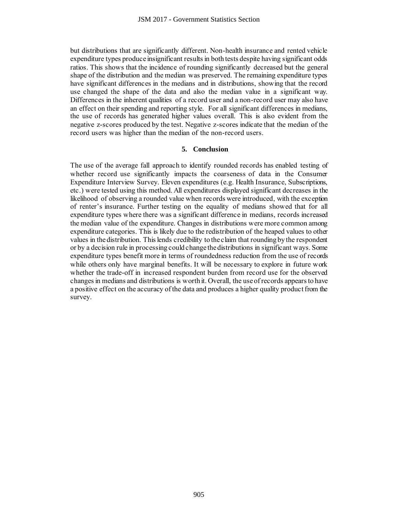but distributions that are significantly different. Non-health insurance and rented vehicle expenditure types produce insignificant results in both tests despite having significant odds ratios. This shows that the incidence of rounding significantly decreased but the general shape of the distribution and the median was preserved. The remaining expenditure types have significant differences in the medians and in distributions, showing that the record use changed the shape of the data and also the median value in a significant way. Differences in the inherent qualities of a record user and a non-record user may also have an effect on their spending and reporting style. For all significant differences in medians, the use of records has generated higher values overall. This is also evident from the negative z-scores produced by the test. Negative z-scores indicate that the median of the record users was higher than the median of the non-record users.

# **5. Conclusion**

The use of the average fall approach to identify rounded records has enabled testing of whether record use significantly impacts the coarseness of data in the Consumer Expenditure Interview Survey. Eleven expenditures (e.g. Health Insurance, Subscriptions, etc.) were tested using this method. All expenditures displayed significant decreases in the likelihood of observing a rounded value when records were introduced, with the exception of renter's insurance. Further testing on the equality of medians showed that for all expenditure types where there was a significant difference in medians, records increased the median value of the expenditure. Changes in distributions were more common among expenditure categories. This is likely due to the redistribution of the heaped values to other values in the distribution. This lends credibility to the claim that rounding by the respondent or by a decision rule in processing could change the distributions in significant ways. Some expenditure types benefit more in terms of roundedness reduction from the use of records while others only have marginal benefits. It will be necessary to explore in future work whether the trade-off in increased respondent burden from record use for the observed changes in medians and distributions is worth it. Overall, the use of records appears to have a positive effect on the accuracy of the data and produces a higher quality product from the survey. JSM 2017 - Government Statistics Section<br>
e significantly different. Non-health insure<br>
consignificant results in both tests despite<br>
the incidence of rounding significantly de<br>
and the median was preserved. The remainseme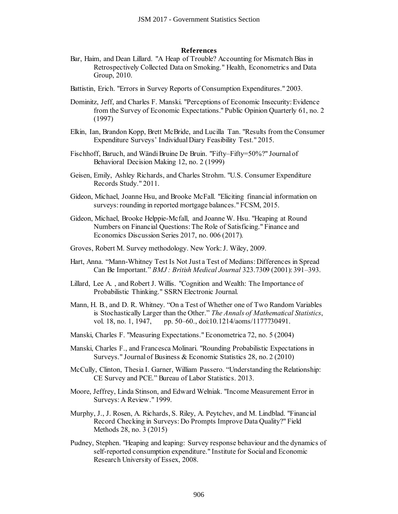#### **References**

- Bar, Haim, and Dean Lillard. "A Heap of Trouble? Accounting for Mismatch Bias in Retrospectively Collected Data on Smoking." Health, Econometrics and Data Group, 2010.
- Battistin, Erich. "Errors in Survey Reports of Consumption Expenditures." 2003.
- Dominitz, Jeff, and Charles F. Manski. "Perceptions of Economic Insecurity: Evidence from the Survey of Economic Expectations." Public Opinion Quarterly 61, no. 2 (1997) JSM 2017 - Government Statistics Section<br>
References<br>
Reflerences<br>
Collected Data on Smoking." Health, Eco<br>
Collected Data on Smoking." Health, Eco<br>
in Survey Reports of Consumption Expensive<br>
yor Feonomic Expectations." P
- Elkin, Ian, Brandon Kopp, Brett McBride, and Lucilla Tan. "Results from the Consumer Expenditure Surveys' Individual Diary Feasibility Test." 2015.
- Fischhoff, Baruch, and Wändi Bruine De Bruin. "Fifty–Fifty=50%?" Journal of Behavioral Decision Making 12, no. 2 (1999)
- Geisen, Emily, Ashley Richards, and Charles Strohm. "U.S. Consumer Expenditure Records Study." 2011.
- Gideon, Michael, Joanne Hsu, and Brooke McFall. "Eliciting financial information on surveys: rounding in reported mortgage balances." FCSM, 2015.
- Gideon, Michael, Brooke Helppie-Mcfall, and Joanne W. Hsu. "Heaping at Round Numbers on Financial Questions: The Role of Satisficing." Finance and Economics Discussion Series 2017, no. 006 (2017).
- Groves, Robert M. Survey methodology. New York: J. Wiley, 2009.
- Hart, Anna. "Mann-Whitney Test Is Not Just a Test of Medians: Differences in Spread Can Be Important." *BMJ : British Medical Journal* 323.7309 (2001): 391–393.
- Lillard, Lee A. , and Robert J. Willis. "Cognition and Wealth: The Importance of Probabilistic Thinking." SSRN Electronic Journal.
- Mann, H. B., and D. R. Whitney. "On a Test of Whether one of Two Random Variables is Stochastically Larger than the Other." *The Annals of Mathematical Statistics*, vol. 18, no. 1, 1947, pp. 50–60., doi:10.1214/aoms/1177730491.
- Manski, Charles F. "Measuring Expectations." Econometrica 72, no. 5 (2004)
- Manski, Charles F., and Francesca Molinari. "Rounding Probabilistic Expectations in Surveys." Journal of Business & Economic Statistics 28, no. 2 (2010)
- McCully, Clinton, Thesia I. Garner, William Passero. "Understanding the Relationship: CE Survey and PCE." Bureau of Labor Statistics. 2013.
- Moore, Jeffrey, Linda Stinson, and Edward Welniak. "Income Measurement Error in Surveys: A Review." 1999.
- Murphy, J., J. Rosen, A. Richards, S. Riley, A. Peytchev, and M. Lindblad. "Financial Record Checking in Surveys: Do Prompts Improve Data Quality?" Field Methods 28, no. 3 (2015)
- Pudney, Stephen. "Heaping and leaping: Survey response behaviour and the dynamics of self-reported consumption expenditure." Institute for Social and Economic Research University of Essex, 2008.